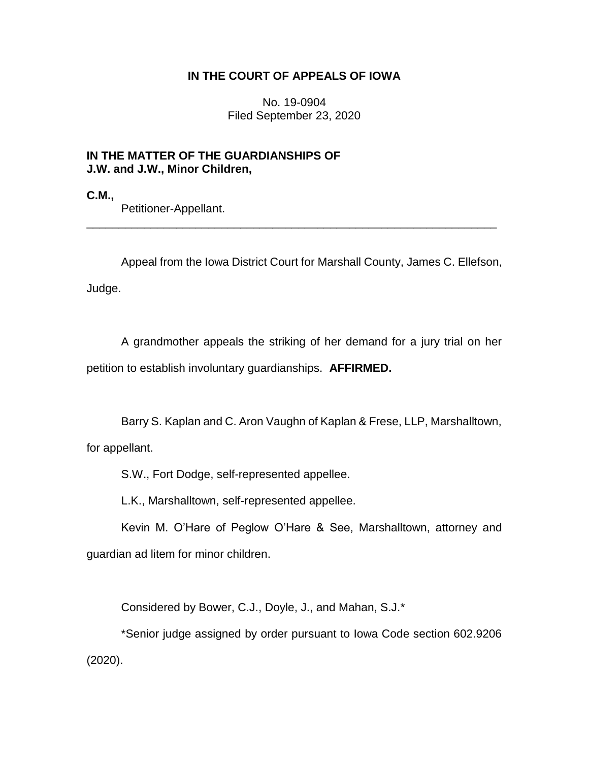## **IN THE COURT OF APPEALS OF IOWA**

No. 19-0904 Filed September 23, 2020

## **IN THE MATTER OF THE GUARDIANSHIPS OF J.W. and J.W., Minor Children,**

**C.M.,**

Petitioner-Appellant.

Appeal from the Iowa District Court for Marshall County, James C. Ellefson, Judge.

\_\_\_\_\_\_\_\_\_\_\_\_\_\_\_\_\_\_\_\_\_\_\_\_\_\_\_\_\_\_\_\_\_\_\_\_\_\_\_\_\_\_\_\_\_\_\_\_\_\_\_\_\_\_\_\_\_\_\_\_\_\_\_\_

A grandmother appeals the striking of her demand for a jury trial on her petition to establish involuntary guardianships. **AFFIRMED.**

Barry S. Kaplan and C. Aron Vaughn of Kaplan & Frese, LLP, Marshalltown,

for appellant.

S.W., Fort Dodge, self-represented appellee.

L.K., Marshalltown, self-represented appellee.

Kevin M. O'Hare of Peglow O'Hare & See, Marshalltown, attorney and guardian ad litem for minor children.

Considered by Bower, C.J., Doyle, J., and Mahan, S.J.\*

\*Senior judge assigned by order pursuant to Iowa Code section 602.9206 (2020).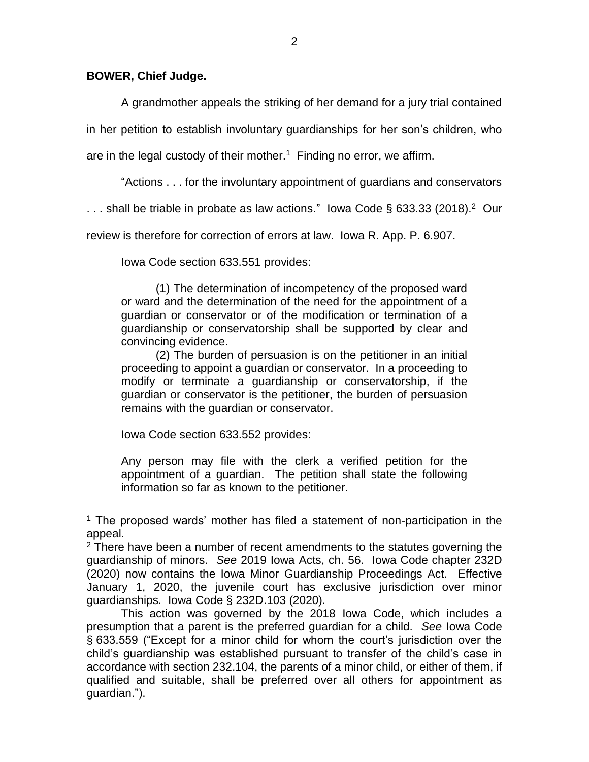## **BOWER, Chief Judge.**

A grandmother appeals the striking of her demand for a jury trial contained

in her petition to establish involuntary guardianships for her son's children, who

are in the legal custody of their mother.<sup>1</sup> Finding no error, we affirm.

"Actions . . . for the involuntary appointment of guardians and conservators

... shall be triable in probate as law actions." lowa Code § 633.33 (2018).<sup>2</sup> Our

review is therefore for correction of errors at law. Iowa R. App. P. 6.907.

Iowa Code section 633.551 provides:

(1) The determination of incompetency of the proposed ward or ward and the determination of the need for the appointment of a guardian or conservator or of the modification or termination of a guardianship or conservatorship shall be supported by clear and convincing evidence.

(2) The burden of persuasion is on the petitioner in an initial proceeding to appoint a guardian or conservator. In a proceeding to modify or terminate a guardianship or conservatorship, if the guardian or conservator is the petitioner, the burden of persuasion remains with the guardian or conservator.

Iowa Code section 633.552 provides:

 $\overline{a}$ 

Any person may file with the clerk a verified petition for the appointment of a guardian. The petition shall state the following information so far as known to the petitioner.

 $1$  The proposed wards' mother has filed a statement of non-participation in the appeal.

 $2$  There have been a number of recent amendments to the statutes governing the guardianship of minors. *See* 2019 Iowa Acts, ch. 56. Iowa Code chapter 232D (2020) now contains the Iowa Minor Guardianship Proceedings Act. Effective January 1, 2020, the juvenile court has exclusive jurisdiction over minor guardianships. Iowa Code § 232D.103 (2020).

This action was governed by the 2018 Iowa Code, which includes a presumption that a parent is the preferred guardian for a child. *See* Iowa Code § 633.559 ("Except for a minor child for whom the court's jurisdiction over the child's guardianship was established pursuant to transfer of the child's case in accordance with section 232.104, the parents of a minor child, or either of them, if qualified and suitable, shall be preferred over all others for appointment as guardian.").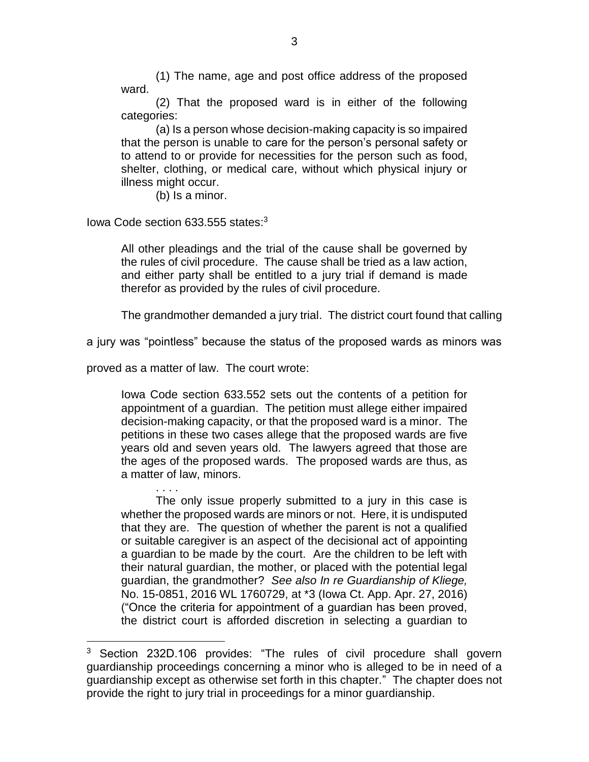(1) The name, age and post office address of the proposed ward.

(2) That the proposed ward is in either of the following categories:

(a) Is a person whose decision-making capacity is so impaired that the person is unable to care for the person's personal safety or to attend to or provide for necessities for the person such as food, shelter, clothing, or medical care, without which physical injury or illness might occur.

(b) Is a minor.

Iowa Code section 633.555 states:<sup>3</sup>

All other pleadings and the trial of the cause shall be governed by the rules of civil procedure. The cause shall be tried as a law action, and either party shall be entitled to a jury trial if demand is made therefor as provided by the rules of civil procedure.

The grandmother demanded a jury trial. The district court found that calling

a jury was "pointless" because the status of the proposed wards as minors was

proved as a matter of law. The court wrote:

. . . .

 $\overline{a}$ 

Iowa Code section 633.552 sets out the contents of a petition for appointment of a guardian. The petition must allege either impaired decision-making capacity, or that the proposed ward is a minor. The petitions in these two cases allege that the proposed wards are five years old and seven years old. The lawyers agreed that those are the ages of the proposed wards. The proposed wards are thus, as a matter of law, minors.

The only issue properly submitted to a jury in this case is whether the proposed wards are minors or not. Here, it is undisputed that they are. The question of whether the parent is not a qualified or suitable caregiver is an aspect of the decisional act of appointing a guardian to be made by the court. Are the children to be left with their natural guardian, the mother, or placed with the potential legal guardian, the grandmother? *See also In re Guardianship of Kliege,*  No. 15-0851, 2016 WL 1760729, at \*3 (Iowa Ct. App. Apr. 27, 2016) ("Once the criteria for appointment of a guardian has been proved, the district court is afforded discretion in selecting a guardian to

 $3$  Section 232D.106 provides: "The rules of civil procedure shall govern guardianship proceedings concerning a minor who is alleged to be in need of a guardianship except as otherwise set forth in this chapter." The chapter does not provide the right to jury trial in proceedings for a minor guardianship.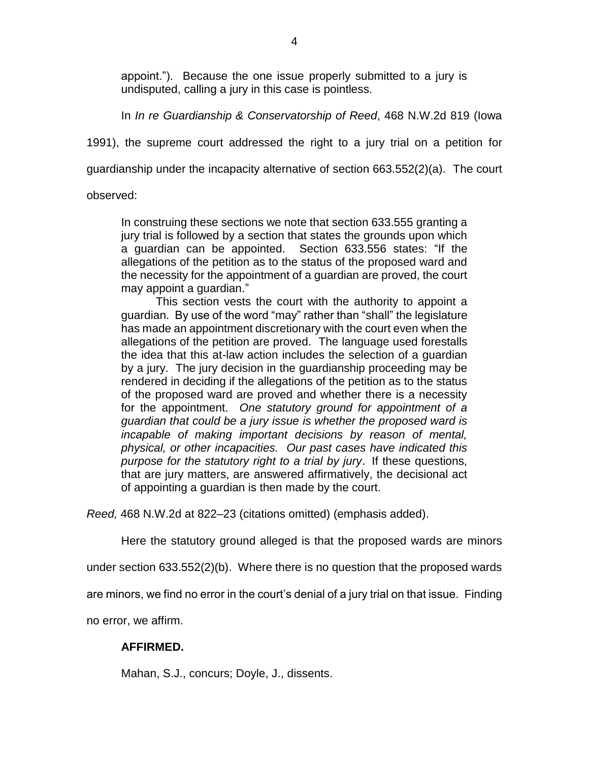appoint."). Because the one issue properly submitted to a jury is undisputed, calling a jury in this case is pointless.

In *In re Guardianship & Conservatorship of Reed*, 468 N.W.2d 819 (Iowa

1991), the supreme court addressed the right to a jury trial on a petition for

guardianship under the incapacity alternative of section 663.552(2)(a). The court

observed:

In construing these sections we note that section 633.555 granting a jury trial is followed by a section that states the grounds upon which a guardian can be appointed. Section 633.556 states: "If the allegations of the petition as to the status of the proposed ward and the necessity for the appointment of a guardian are proved, the court may appoint a guardian."

This section vests the court with the authority to appoint a guardian. By use of the word "may" rather than "shall" the legislature has made an appointment discretionary with the court even when the allegations of the petition are proved. The language used forestalls the idea that this at-law action includes the selection of a guardian by a jury. The jury decision in the guardianship proceeding may be rendered in deciding if the allegations of the petition as to the status of the proposed ward are proved and whether there is a necessity for the appointment. *One statutory ground for appointment of a guardian that could be a jury issue is whether the proposed ward is incapable of making important decisions by reason of mental, physical, or other incapacities. Our past cases have indicated this purpose for the statutory right to a trial by jury*. If these questions, that are jury matters, are answered affirmatively, the decisional act of appointing a guardian is then made by the court.

*Reed,* 468 N.W.2d at 822–23 (citations omitted) (emphasis added).

Here the statutory ground alleged is that the proposed wards are minors

under section 633.552(2)(b). Where there is no question that the proposed wards

are minors, we find no error in the court's denial of a jury trial on that issue. Finding

no error, we affirm.

## **AFFIRMED.**

Mahan, S.J., concurs; Doyle, J., dissents.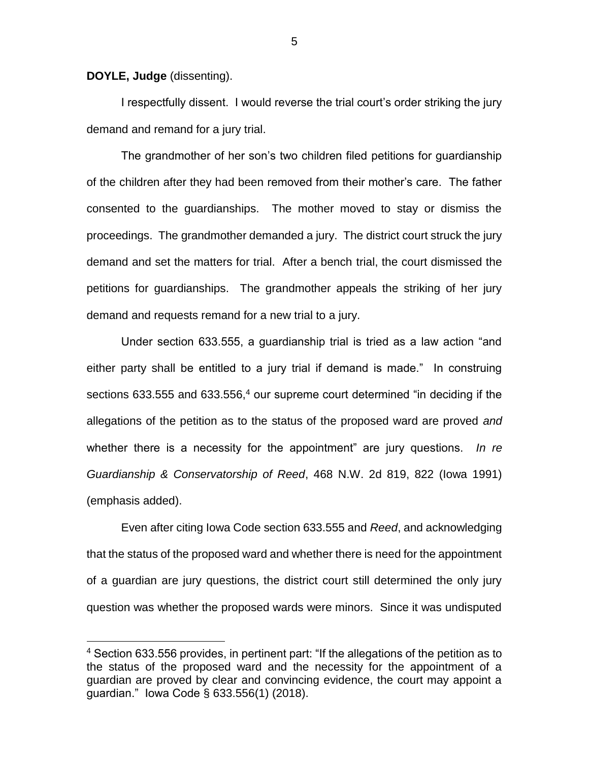**DOYLE, Judge** (dissenting).

 $\overline{a}$ 

I respectfully dissent. I would reverse the trial court's order striking the jury demand and remand for a jury trial.

The grandmother of her son's two children filed petitions for guardianship of the children after they had been removed from their mother's care. The father consented to the guardianships. The mother moved to stay or dismiss the proceedings. The grandmother demanded a jury. The district court struck the jury demand and set the matters for trial. After a bench trial, the court dismissed the petitions for guardianships. The grandmother appeals the striking of her jury demand and requests remand for a new trial to a jury.

Under section 633.555, a guardianship trial is tried as a law action "and either party shall be entitled to a jury trial if demand is made." In construing sections 633.555 and 633.556, $4$  our supreme court determined "in deciding if the allegations of the petition as to the status of the proposed ward are proved *and* whether there is a necessity for the appointment" are jury questions. *In re Guardianship & Conservatorship of Reed*, 468 N.W. 2d 819, 822 (Iowa 1991) (emphasis added).

Even after citing Iowa Code section 633.555 and *Reed*, and acknowledging that the status of the proposed ward and whether there is need for the appointment of a guardian are jury questions, the district court still determined the only jury question was whether the proposed wards were minors. Since it was undisputed

<sup>&</sup>lt;sup>4</sup> Section 633.556 provides, in pertinent part: "If the allegations of the petition as to the status of the proposed ward and the necessity for the appointment of a guardian are proved by clear and convincing evidence, the court may appoint a guardian." Iowa Code § 633.556(1) (2018).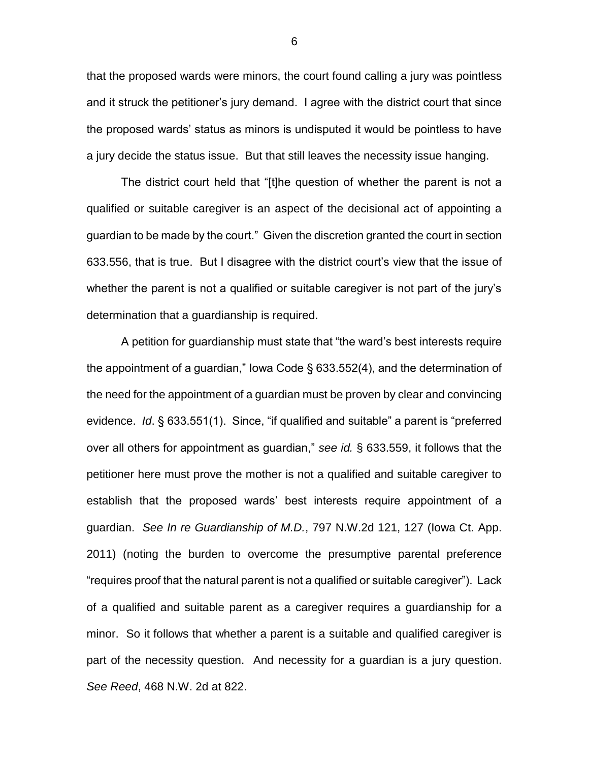that the proposed wards were minors, the court found calling a jury was pointless and it struck the petitioner's jury demand. I agree with the district court that since the proposed wards' status as minors is undisputed it would be pointless to have a jury decide the status issue. But that still leaves the necessity issue hanging.

The district court held that "[t]he question of whether the parent is not a qualified or suitable caregiver is an aspect of the decisional act of appointing a guardian to be made by the court." Given the discretion granted the court in section 633.556, that is true. But I disagree with the district court's view that the issue of whether the parent is not a qualified or suitable caregiver is not part of the jury's determination that a guardianship is required.

A petition for guardianship must state that "the ward's best interests require the appointment of a guardian," Iowa Code § 633.552(4), and the determination of the need for the appointment of a guardian must be proven by clear and convincing evidence. *Id*. § 633.551(1). Since, "if qualified and suitable" a parent is "preferred over all others for appointment as guardian," *see id.* § 633.559, it follows that the petitioner here must prove the mother is not a qualified and suitable caregiver to establish that the proposed wards' best interests require appointment of a guardian. *See In re Guardianship of M.D.*, 797 N.W.2d 121, 127 (Iowa Ct. App. 2011) (noting the burden to overcome the presumptive parental preference "requires proof that the natural parent is not a qualified or suitable caregiver"). Lack of a qualified and suitable parent as a caregiver requires a guardianship for a minor. So it follows that whether a parent is a suitable and qualified caregiver is part of the necessity question. And necessity for a guardian is a jury question. *See Reed*, 468 N.W. 2d at 822.

6